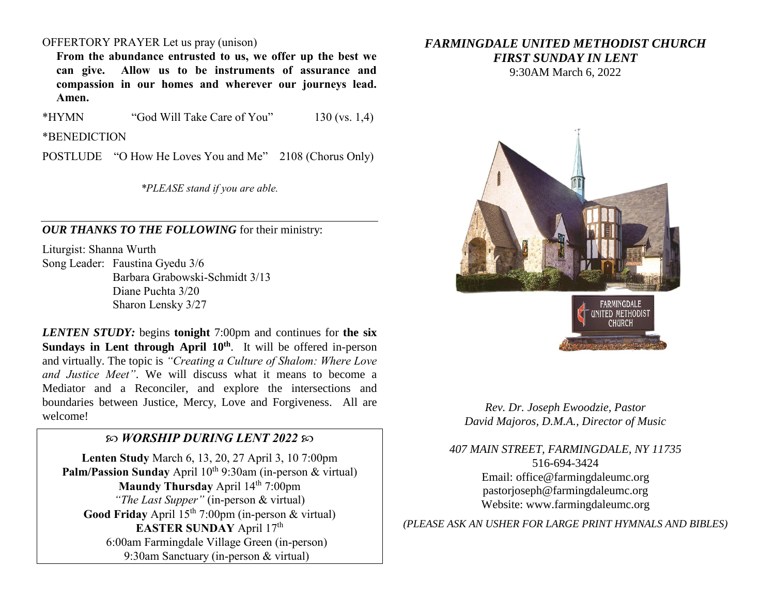## OFFERTORY PRAYER Let us pray (unison)

**From the abundance entrusted to us, we offer up the best we can give. Allow us to be instruments of assurance and compassion in our homes and wherever our journeys lead. Amen.**

\*HYMN "God Will Take Care of You" 130 (vs. 1,4)

\*BENEDICTION

POSTLUDE "O How He Loves You and Me" 2108 (Chorus Only)

*\*PLEASE stand if you are able.*

*OUR THANKS TO THE FOLLOWING* for their ministry:

Liturgist: Shanna Wurth Song Leader: Faustina Gyedu 3/6 Barbara Grabowski-Schmidt 3/13 Diane Puchta 3/20 Sharon Lensky 3/27

*LENTEN STUDY:* begins **tonight** 7:00pm and continues for **the six Sundays in Lent through April 10th**. It will be offered in-person and virtually. The topic is *"Creating a Culture of Shalom: Where Love and Justice Meet"*. We will discuss what it means to become a Mediator and a Reconciler, and explore the intersections and boundaries between Justice, Mercy, Love and Forgiveness. All are welcome!

## *WORSHIP DURING LENT 2022*

**Lenten Study** March 6, 13, 20, 27 April 3, 10 7:00pm **Palm/Passion Sunday** April 10<sup>th</sup> 9:30am (in-person & virtual) **Maundy Thursday** April 14<sup>th</sup> 7:00pm *"The Last Supper"* (in-person & virtual) Good Friday April 15<sup>th</sup> 7:00pm (in-person & virtual) **EASTER SUNDAY** April 17<sup>th</sup> 6:00am Farmingdale Village Green (in-person) 9:30am Sanctuary (in-person & virtual)

## *FARMINGDALE UNITED METHODIST CHURCH FIRST SUNDAY IN LENT*

9:30AM March 6, 2022



*Rev. Dr. Joseph Ewoodzie, Pastor David Majoros, D.M.A., Director of Music*

*407 MAIN STREET, FARMINGDALE, NY 11735*

516-694-3424 Email: [office@farmingdaleumc.org](mailto:office@farmingdaleumc.org) pastorjoseph@farmingdaleumc.org Website: www.farmingdaleumc.org

*(PLEASE ASK AN USHER FOR LARGE PRINT HYMNALS AND BIBLES)*